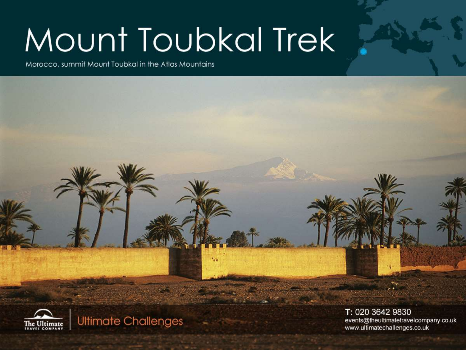# Mount Toubkal Trek

Morocco, summit Mount Toubkal in the Atlas Mountains



**Ultimate Challenges** 

T: 020 3642 9830 events@theultimatetravelcompany.co.uk www.ultimatechallenges.co.uk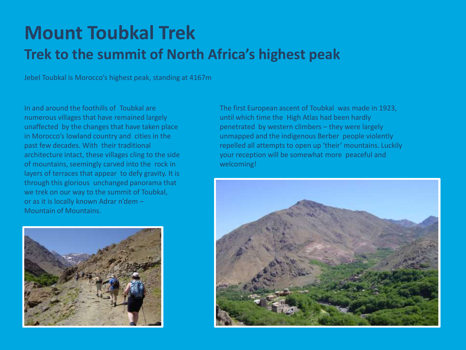## **Mount Toubkal Trek Trek to the summit of North Africa's highest peak**

Jebel Toubkal is Morocco's highest peak, standing at 4167m

In and around the foothills of Toubkal are numerous villages that have remained largely unaffected by the changes that have taken place in Morocco's lowland country and cities in the past few decades. With their traditional architecture intact, these villages cling to the side of mountains, seemingly carved into the rock in layers of terraces that appear to defy gravity. It is through this glorious unchanged panorama that we trek on our way to the summit of Toubkal, or as it is locally known Adrar n'dem – Mountain of Mountains.



The first European ascent of Toubkal was made in 1923, until which time the High Atlas had been hardly penetrated by western climbers – they were largely unmapped and the indigenous Berber people violently repelled all attempts to open up 'their' mountains. Luckily your reception will be somewhat more peaceful and welcoming!